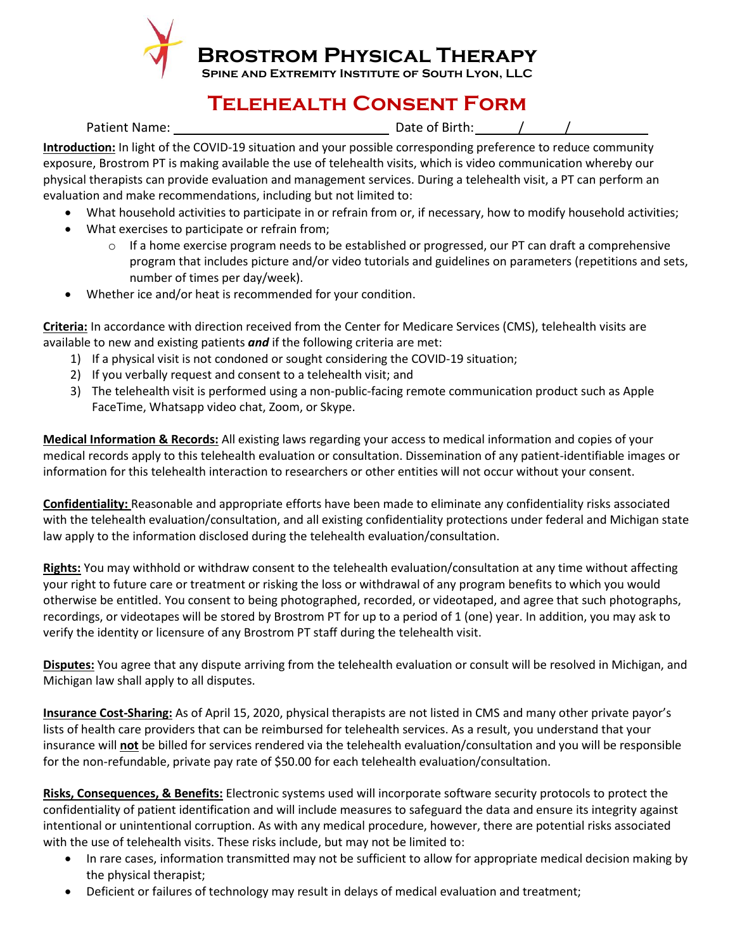

**Brostrom Physical Therapy**

**Spine and Extremity Institute of South Lyon, LLC**

## **Telehealth Consent Form**

Patient Name: Date of Birth: / /

**Introduction:** In light of the COVID-19 situation and your possible corresponding preference to reduce community exposure, Brostrom PT is making available the use of telehealth visits, which is video communication whereby our physical therapists can provide evaluation and management services. During a telehealth visit, a PT can perform an evaluation and make recommendations, including but not limited to:

- What household activities to participate in or refrain from or, if necessary, how to modify household activities;
- What exercises to participate or refrain from;
	- $\circ$  If a home exercise program needs to be established or progressed, our PT can draft a comprehensive program that includes picture and/or video tutorials and guidelines on parameters (repetitions and sets, number of times per day/week).
- Whether ice and/or heat is recommended for your condition.

**Criteria:** In accordance with direction received from the Center for Medicare Services (CMS), telehealth visits are available to new and existing patients *and* if the following criteria are met:

- 1) If a physical visit is not condoned or sought considering the COVID-19 situation;
- 2) If you verbally request and consent to a telehealth visit; and
- 3) The telehealth visit is performed using a non-public-facing remote communication product such as Apple FaceTime, Whatsapp video chat, Zoom, or Skype.

**Medical Information & Records:** All existing laws regarding your access to medical information and copies of your medical records apply to this telehealth evaluation or consultation. Dissemination of any patient-identifiable images or information for this telehealth interaction to researchers or other entities will not occur without your consent.

**Confidentiality:** Reasonable and appropriate efforts have been made to eliminate any confidentiality risks associated with the telehealth evaluation/consultation, and all existing confidentiality protections under federal and Michigan state law apply to the information disclosed during the telehealth evaluation/consultation.

**Rights:** You may withhold or withdraw consent to the telehealth evaluation/consultation at any time without affecting your right to future care or treatment or risking the loss or withdrawal of any program benefits to which you would otherwise be entitled. You consent to being photographed, recorded, or videotaped, and agree that such photographs, recordings, or videotapes will be stored by Brostrom PT for up to a period of 1 (one) year. In addition, you may ask to verify the identity or licensure of any Brostrom PT staff during the telehealth visit.

**Disputes:** You agree that any dispute arriving from the telehealth evaluation or consult will be resolved in Michigan, and Michigan law shall apply to all disputes.

**Insurance Cost-Sharing:** As of April 15, 2020, physical therapists are not listed in CMS and many other private payor's lists of health care providers that can be reimbursed for telehealth services. As a result, you understand that your insurance will **not** be billed for services rendered via the telehealth evaluation/consultation and you will be responsible for the non-refundable, private pay rate of \$50.00 for each telehealth evaluation/consultation.

**Risks, Consequences, & Benefits:** Electronic systems used will incorporate software security protocols to protect the confidentiality of patient identification and will include measures to safeguard the data and ensure its integrity against intentional or unintentional corruption. As with any medical procedure, however, there are potential risks associated with the use of telehealth visits. These risks include, but may not be limited to:

- In rare cases, information transmitted may not be sufficient to allow for appropriate medical decision making by the physical therapist;
- Deficient or failures of technology may result in delays of medical evaluation and treatment;